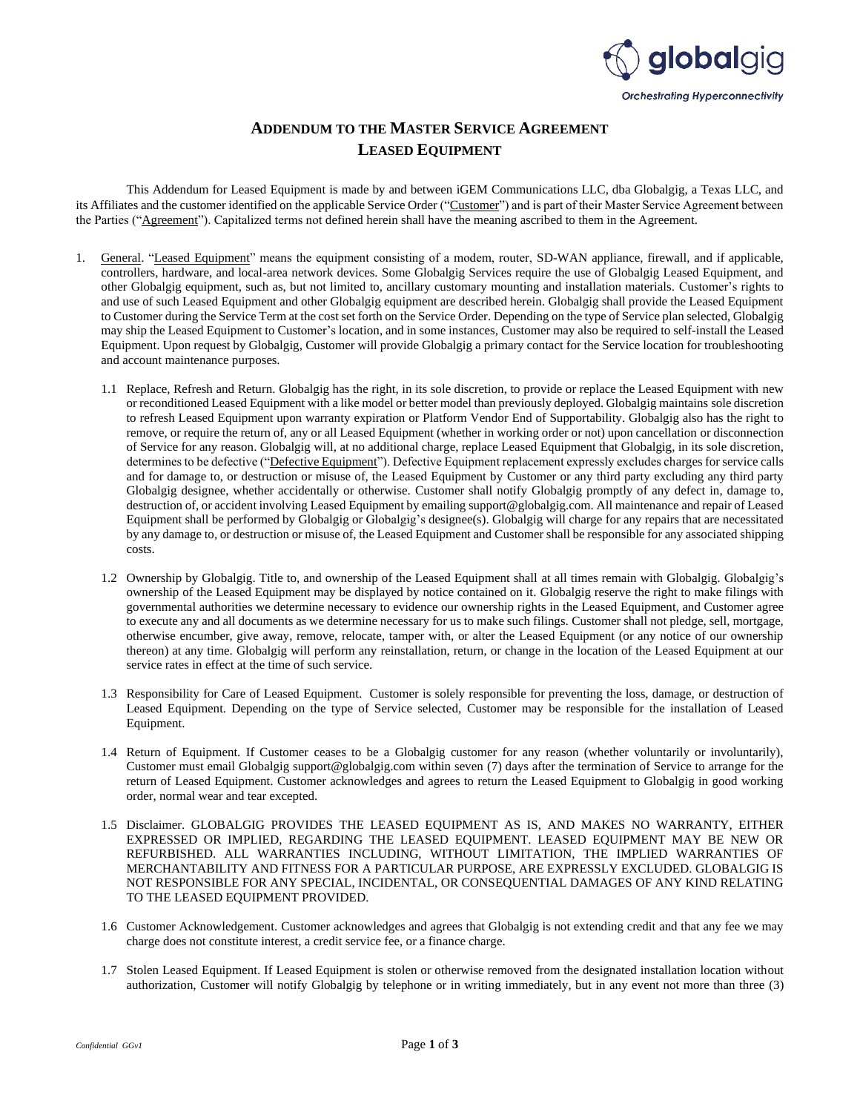

## **ADDENDUM TO THE MASTER SERVICE AGREEMENT LEASED EQUIPMENT**

This Addendum for Leased Equipment is made by and between iGEM Communications LLC, dba Globalgig, a Texas LLC, and its Affiliates and the customer identified on the applicable Service Order ("Customer") and is part of their Master Service Agreement between the Parties ("Agreement"). Capitalized terms not defined herein shall have the meaning ascribed to them in the Agreement.

- 1. General. "Leased Equipment" means the equipment consisting of a modem, router, SD-WAN appliance, firewall, and if applicable, controllers, hardware, and local-area network devices. Some Globalgig Services require the use of Globalgig Leased Equipment, and other Globalgig equipment, such as, but not limited to, ancillary customary mounting and installation materials. Customer's rights to and use of such Leased Equipment and other Globalgig equipment are described herein. Globalgig shall provide the Leased Equipment to Customer during the Service Term at the cost set forth on the Service Order. Depending on the type of Service plan selected, Globalgig may ship the Leased Equipment to Customer's location, and in some instances, Customer may also be required to self-install the Leased Equipment. Upon request by Globalgig, Customer will provide Globalgig a primary contact for the Service location for troubleshooting and account maintenance purposes.
	- 1.1 Replace, Refresh and Return. Globalgig has the right, in its sole discretion, to provide or replace the Leased Equipment with new or reconditioned Leased Equipment with a like model or better model than previously deployed. Globalgig maintains sole discretion to refresh Leased Equipment upon warranty expiration or Platform Vendor End of Supportability. Globalgig also has the right to remove, or require the return of, any or all Leased Equipment (whether in working order or not) upon cancellation or disconnection of Service for any reason. Globalgig will, at no additional charge, replace Leased Equipment that Globalgig, in its sole discretion, determines to be defective ("Defective Equipment"). Defective Equipment replacement expressly excludes charges for service calls and for damage to, or destruction or misuse of, the Leased Equipment by Customer or any third party excluding any third party Globalgig designee, whether accidentally or otherwise. Customer shall notify Globalgig promptly of any defect in, damage to, destruction of, or accident involving Leased Equipment by emailing support@globalgig.com. All maintenance and repair of Leased Equipment shall be performed by Globalgig or Globalgig's designee(s). Globalgig will charge for any repairs that are necessitated by any damage to, or destruction or misuse of, the Leased Equipment and Customer shall be responsible for any associated shipping costs.
	- 1.2 Ownership by Globalgig. Title to, and ownership of the Leased Equipment shall at all times remain with Globalgig. Globalgig's ownership of the Leased Equipment may be displayed by notice contained on it. Globalgig reserve the right to make filings with governmental authorities we determine necessary to evidence our ownership rights in the Leased Equipment, and Customer agree to execute any and all documents as we determine necessary for us to make such filings. Customer shall not pledge, sell, mortgage, otherwise encumber, give away, remove, relocate, tamper with, or alter the Leased Equipment (or any notice of our ownership thereon) at any time. Globalgig will perform any reinstallation, return, or change in the location of the Leased Equipment at our service rates in effect at the time of such service.
	- 1.3 Responsibility for Care of Leased Equipment. Customer is solely responsible for preventing the loss, damage, or destruction of Leased Equipment. Depending on the type of Service selected, Customer may be responsible for the installation of Leased Equipment.
	- 1.4 Return of Equipment. If Customer ceases to be a Globalgig customer for any reason (whether voluntarily or involuntarily), Customer must email Globalgig support@globalgig.com within seven (7) days after the termination of Service to arrange for the return of Leased Equipment. Customer acknowledges and agrees to return the Leased Equipment to Globalgig in good working order, normal wear and tear excepted.
	- 1.5 Disclaimer. GLOBALGIG PROVIDES THE LEASED EQUIPMENT AS IS, AND MAKES NO WARRANTY, EITHER EXPRESSED OR IMPLIED, REGARDING THE LEASED EQUIPMENT. LEASED EQUIPMENT MAY BE NEW OR REFURBISHED. ALL WARRANTIES INCLUDING, WITHOUT LIMITATION, THE IMPLIED WARRANTIES OF MERCHANTABILITY AND FITNESS FOR A PARTICULAR PURPOSE, ARE EXPRESSLY EXCLUDED. GLOBALGIG IS NOT RESPONSIBLE FOR ANY SPECIAL, INCIDENTAL, OR CONSEQUENTIAL DAMAGES OF ANY KIND RELATING TO THE LEASED EQUIPMENT PROVIDED.
	- 1.6 Customer Acknowledgement. Customer acknowledges and agrees that Globalgig is not extending credit and that any fee we may charge does not constitute interest, a credit service fee, or a finance charge.
	- 1.7 Stolen Leased Equipment. If Leased Equipment is stolen or otherwise removed from the designated installation location without authorization, Customer will notify Globalgig by telephone or in writing immediately, but in any event not more than three (3)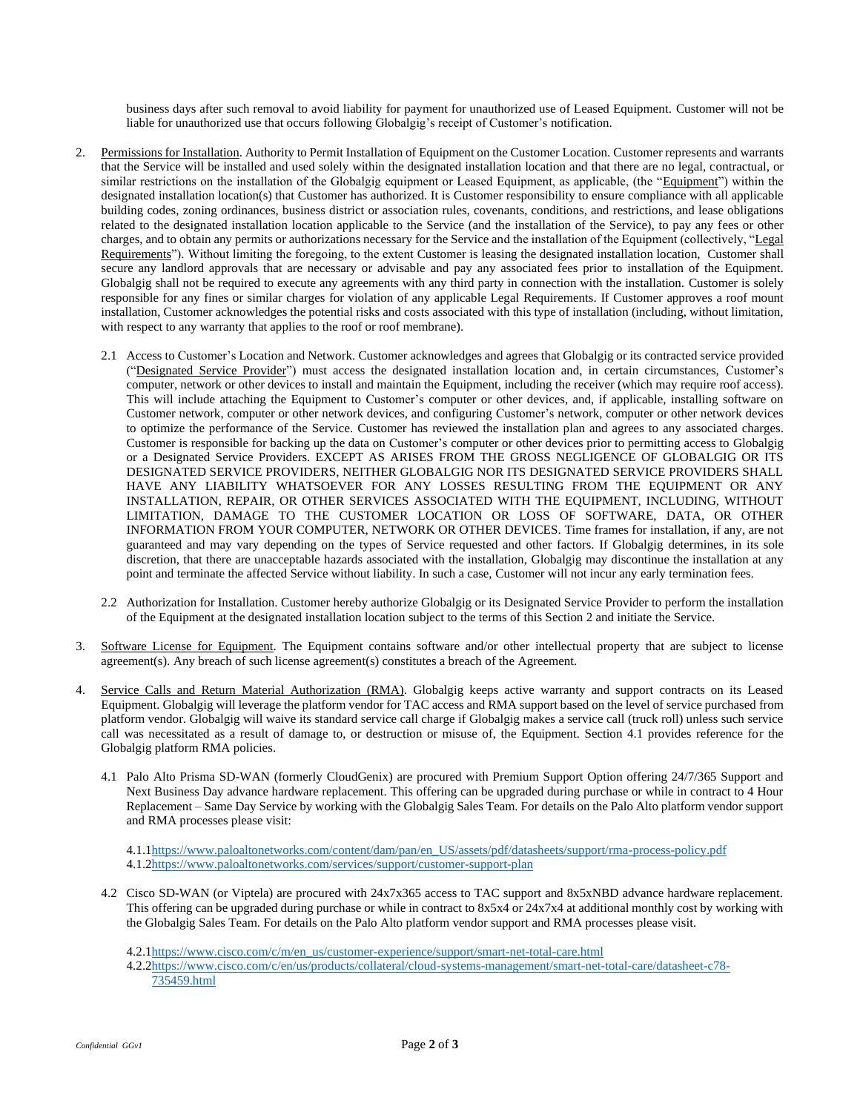business days after such removal to avoid liability for payment for unauthorized use of Leased Equipment. Customer will not be liable for unauthorized use that occurs following Globalgig's receipt of Customer's notification.

- 2. Permissions for Installation. Authority to Permit Installation of Equipment on the Customer Location. Customer represents and warrants that the Service will be installed and used solely within the designated installation location and that there are no legal, contractual, or similar restrictions on the installation of the Globalgig equipment or Leased Equipment, as applicable, (the "Equipment") within the designated installation location(s) that Customer has authorized. It is Customer responsibility to ensure compliance with all applicable building codes, zoning ordinances, business district or association rules, covenants, conditions, and restrictions, and lease obligations related to the designated installation location applicable to the Service (and the installation of the Service), to pay any fees or other charges, and to obtain any permits or authorizations necessary for the Service and the installation of the Equipment (collectively, "Legal Requirements"). Without limiting the foregoing, to the extent Customer is leasing the designated installation location, Customer shall secure any landlord approvals that are necessary or advisable and pay any associated fees prior to installation of the Equipment. Globalgig shall not be required to execute any agreements with any third party in connection with the installation. Customer is solely responsible for any fines or similar charges for violation of any applicable Legal Requirements. If Customer approves a roof mount installation, Customer acknowledges the potential risks and costs associated with this type of installation (including, without limitation, with respect to any warranty that applies to the roof or roof membrane).
	- 2.1 Access to Customer's Location and Network. Customer acknowledges and agrees that Globalgig or its contracted service provided ("Designated Service Provider") must access the designated installation location and, in certain circumstances, Customer's computer, network or other devices to install and maintain the Equipment, including the receiver (which may require roof access). This will include attaching the Equipment to Customer's computer or other devices, and, if applicable, installing software on Customer network, computer or other network devices, and configuring Customer's network, computer or other network devices to optimize the performance of the Service. Customer has reviewed the installation plan and agrees to any associated charges. Customer is responsible for backing up the data on Customer's computer or other devices prior to permitting access to Globalgig or a Designated Service Providers. EXCEPT AS ARISES FROM THE GROSS NEGLIGENCE OF GLOBALGIG OR ITS DESIGNATED SERVICE PROVIDERS, NEITHER GLOBALGIG NOR ITS DESIGNATED SERVICE PROVIDERS SHALL HAVE ANY LIABILITY WHATSOEVER FOR ANY LOSSES RESULTING FROM THE EQUIPMENT OR ANY INSTALLATION, REPAIR, OR OTHER SERVICES ASSOCIATED WITH THE EQUIPMENT, INCLUDING, WITHOUT LIMITATION, DAMAGE TO THE CUSTOMER LOCATION OR LOSS OF SOFTWARE, DATA, OR OTHER INFORMATION FROM YOUR COMPUTER, NETWORK OR OTHER DEVICES. Time frames for installation, if any, are not guaranteed and may vary depending on the types of Service requested and other factors. If Globalgig determines, in its sole discretion, that there are unacceptable hazards associated with the installation, Globalgig may discontinue the installation at any point and terminate the affected Service without liability. In such a case, Customer will not incur any early termination fees.
	- 2.2 Authorization for Installation. Customer hereby authorize Globalgig or its Designated Service Provider to perform the installation of the Equipment at the designated installation location subject to the terms of this Section 2 and initiate the Service.
- 3. Software License for Equipment. The Equipment contains software and/or other intellectual property that are subject to license agreement(s). Any breach of such license agreement(s) constitutes a breach of the Agreement.
- 4. Service Calls and Return Material Authorization (RMA). Globalgig keeps active warranty and support contracts on its Leased Equipment. Globalgig will leverage the platform vendor for TAC access and RMA support based on the level of service purchased from platform vendor. Globalgig will waive its standard service call charge if Globalgig makes a service call (truck roll) unless such service call was necessitated as a result of damage to, or destruction or misuse of, the Equipment. Section 4.1 provides reference for the Globalgig platform RMA policies.
	- 4.1 Palo Alto Prisma SD-WAN (formerly CloudGenix) are procured with Premium Support Option offering 24/7/365 Support and Next Business Day advance hardware replacement. This offering can be upgraded during purchase or while in contract to 4 Hour Replacement – Same Day Service by working with the Globalgig Sales Team. For details on the Palo Alto platform vendor support and RMA processes please visit:

4.1.[1https://www.paloaltonetworks.com/content/dam/pan/en\\_US/assets/pdf/datasheets/support/rma-process-policy.pdf](https://www.paloaltonetworks.com/content/dam/pan/en_US/assets/pdf/datasheets/support/rma-process-policy.pdf) 4.1.[2https://www.paloaltonetworks.com/services/support/customer-support-plan](https://www.paloaltonetworks.com/services/support/customer-support-plan)

- 4.2 Cisco SD-WAN (or Viptela) are procured with 24x7x365 access to TAC support and 8x5xNBD advance hardware replacement. This offering can be upgraded during purchase or while in contract to 8x5x4 or 24x7x4 at additional monthly cost by working with the Globalgig Sales Team. For details on the Palo Alto platform vendor support and RMA processes please visit.
	- 4.2.[1https://www.cisco.com/c/m/en\\_us/customer-experience/support/smart-net-total-care.html](https://www.cisco.com/c/m/en_us/customer-experience/support/smart-net-total-care.html)
	- 4.2.[2https://www.cisco.com/c/en/us/products/collateral/cloud-systems-management/smart-net-total-care/datasheet-c78-](https://www.cisco.com/c/en/us/products/collateral/cloud-systems-management/smart-net-total-care/datasheet-c78-735459.html) [735459.html](https://www.cisco.com/c/en/us/products/collateral/cloud-systems-management/smart-net-total-care/datasheet-c78-735459.html)